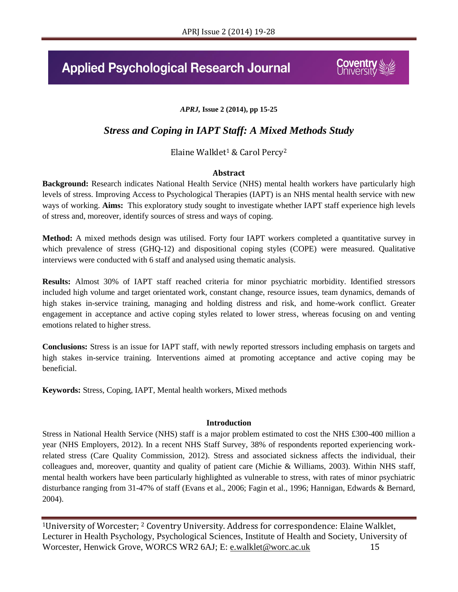# **Applied Psychological Research Journal**



*APRJ,* **Issue 2 (2014), pp 15-25**

# *Stress and Coping in IAPT Staff: A Mixed Methods Study*

Elaine Walklet<sup>1</sup> & Carol Percy<sup>2</sup>

#### **Abstract**

**Background:** Research indicates National Health Service (NHS) mental health workers have particularly high levels of stress. Improving Access to Psychological Therapies (IAPT) is an NHS mental health service with new ways of working. **Aims:** This exploratory study sought to investigate whether IAPT staff experience high levels of stress and, moreover, identify sources of stress and ways of coping.

**Method:** A mixed methods design was utilised. Forty four IAPT workers completed a quantitative survey in which prevalence of stress (GHQ-12) and dispositional coping styles (COPE) were measured. Qualitative interviews were conducted with 6 staff and analysed using thematic analysis.

**Results:** Almost 30% of IAPT staff reached criteria for minor psychiatric morbidity. Identified stressors included high volume and target orientated work, constant change, resource issues, team dynamics, demands of high stakes in-service training, managing and holding distress and risk, and home-work conflict. Greater engagement in acceptance and active coping styles related to lower stress, whereas focusing on and venting emotions related to higher stress.

**Conclusions:** Stress is an issue for IAPT staff, with newly reported stressors including emphasis on targets and high stakes in-service training. Interventions aimed at promoting acceptance and active coping may be beneficial.

**Keywords:** Stress, Coping, IAPT, Mental health workers, Mixed methods

#### **Introduction**

Stress in National Health Service (NHS) staff is a major problem estimated to cost the NHS £300-400 million a year (NHS Employers, 2012). In a recent NHS Staff Survey, 38% of respondents reported experiencing workrelated stress (Care Quality Commission, 2012). Stress and associated sickness affects the individual, their colleagues and, moreover, quantity and quality of patient care (Michie & Williams, 2003). Within NHS staff, mental health workers have been particularly highlighted as vulnerable to stress, with rates of minor psychiatric disturbance ranging from 31-47% of staff (Evans et al., 2006; Fagin et al., 1996; Hannigan, Edwards & Bernard, 2004).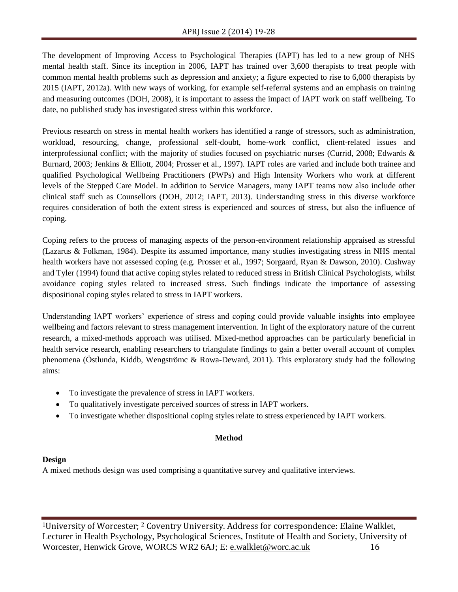The development of Improving Access to Psychological Therapies (IAPT) has led to a new group of NHS mental health staff. Since its inception in 2006, IAPT has trained over 3,600 therapists to treat people with common mental health problems such as depression and anxiety; a figure expected to rise to 6,000 therapists by 2015 (IAPT, 2012a). With new ways of working, for example self-referral systems and an emphasis on training and measuring outcomes (DOH, 2008), it is important to assess the impact of IAPT work on staff wellbeing. To date, no published study has investigated stress within this workforce.

Previous research on stress in mental health workers has identified a range of stressors, such as administration, workload, resourcing, change, professional self-doubt, home-work conflict, client-related issues and interprofessional conflict; with the majority of studies focused on psychiatric nurses (Currid, 2008; Edwards & Burnard, 2003; Jenkins & Elliott, 2004; Prosser et al., 1997). IAPT roles are varied and include both trainee and qualified Psychological Wellbeing Practitioners (PWPs) and High Intensity Workers who work at different levels of the Stepped Care Model. In addition to Service Managers, many IAPT teams now also include other clinical staff such as Counsellors (DOH, 2012; IAPT, 2013). Understanding stress in this diverse workforce requires consideration of both the extent stress is experienced and sources of stress, but also the influence of coping.

Coping refers to the process of managing aspects of the person-environment relationship appraised as stressful (Lazarus & Folkman, 1984). Despite its assumed importance, many studies investigating stress in NHS mental health workers have not assessed coping (e.g. Prosser et al., 1997; Sorgaard, Ryan & Dawson, 2010). Cushway and Tyler (1994) found that active coping styles related to reduced stress in British Clinical Psychologists, whilst avoidance coping styles related to increased stress. Such findings indicate the importance of assessing dispositional coping styles related to stress in IAPT workers.

Understanding IAPT workers' experience of stress and coping could provide valuable insights into employee wellbeing and factors relevant to stress management intervention. In light of the exploratory nature of the current research, a mixed-methods approach was utilised. Mixed-method approaches can be particularly beneficial in health service research, enabling researchers to triangulate findings to gain a better overall account of complex phenomena (Östlunda, Kiddb, Wengströmc & Rowa-Deward, 2011). This exploratory study had the following aims:

- To investigate the prevalence of stress in IAPT workers.
- To qualitatively investigate perceived sources of stress in IAPT workers.
- To investigate whether dispositional coping styles relate to stress experienced by IAPT workers.

# **Method**

# **Design**

A mixed methods design was used comprising a quantitative survey and qualitative interviews.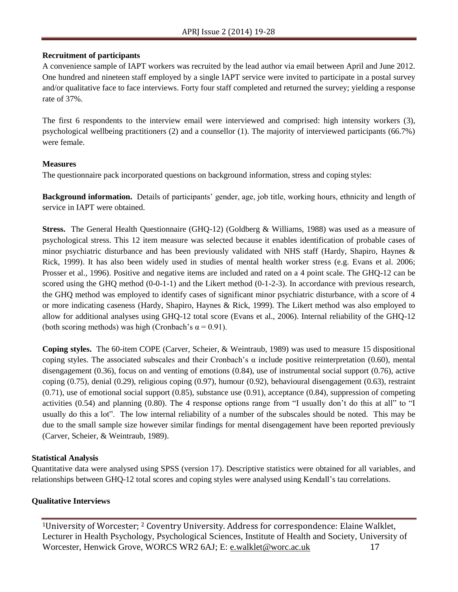# **Recruitment of participants**

A convenience sample of IAPT workers was recruited by the lead author via email between April and June 2012. One hundred and nineteen staff employed by a single IAPT service were invited to participate in a postal survey and/or qualitative face to face interviews. Forty four staff completed and returned the survey; yielding a response rate of 37%.

The first 6 respondents to the interview email were interviewed and comprised: high intensity workers (3), psychological wellbeing practitioners (2) and a counsellor (1). The majority of interviewed participants (66.7%) were female.

# **Measures**

The questionnaire pack incorporated questions on background information, stress and coping styles:

**Background information.** Details of participants' gender, age, job title, working hours, ethnicity and length of service in IAPT were obtained.

**Stress.** The General Health Questionnaire (GHQ-12) (Goldberg & Williams, 1988) was used as a measure of psychological stress. This 12 item measure was selected because it enables identification of probable cases of minor psychiatric disturbance and has been previously validated with NHS staff (Hardy, Shapiro, Haynes & Rick, 1999). It has also been widely used in studies of mental health worker stress (e.g. Evans et al. 2006; Prosser et al., 1996). Positive and negative items are included and rated on a 4 point scale. The GHQ-12 can be scored using the GHQ method (0-0-1-1) and the Likert method (0-1-2-3). In accordance with previous research, the GHQ method was employed to identify cases of significant minor psychiatric disturbance, with a score of 4 or more indicating caseness (Hardy, Shapiro, Haynes & Rick, 1999). The Likert method was also employed to allow for additional analyses using GHQ-12 total score (Evans et al., 2006). Internal reliability of the GHQ-12 (both scoring methods) was high (Cronbach's  $\alpha$  = 0.91).

**Coping styles.** The 60-item COPE (Carver, Scheier, & Weintraub, 1989) was used to measure 15 dispositional coping styles. The associated subscales and their Cronbach's α include positive reinterpretation (0.60), mental disengagement (0.36), focus on and venting of emotions (0.84), use of instrumental social support (0.76), active coping (0.75), denial (0.29), religious coping (0.97), humour (0.92), behavioural disengagement (0.63), restraint  $(0.71)$ , use of emotional social support  $(0.85)$ , substance use  $(0.91)$ , acceptance  $(0.84)$ , suppression of competing activities (0.54) and planning (0.80). The 4 response options range from "I usually don't do this at all" to "I usually do this a lot". The low internal reliability of a number of the subscales should be noted. This may be due to the small sample size however similar findings for mental disengagement have been reported previously (Carver, Scheier, & Weintraub, 1989).

# **Statistical Analysis**

Quantitative data were analysed using SPSS (version 17). Descriptive statistics were obtained for all variables, and relationships between GHQ-12 total scores and coping styles were analysed using Kendall's tau correlations.

# **Qualitative Interviews**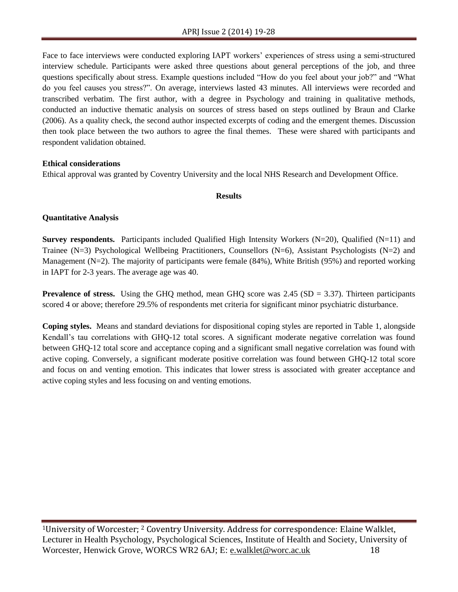Face to face interviews were conducted exploring IAPT workers' experiences of stress using a semi-structured interview schedule. Participants were asked three questions about general perceptions of the job, and three questions specifically about stress. Example questions included "How do you feel about your job?" and "What do you feel causes you stress?". On average, interviews lasted 43 minutes. All interviews were recorded and transcribed verbatim. The first author, with a degree in Psychology and training in qualitative methods, conducted an inductive thematic analysis on sources of stress based on steps outlined by Braun and Clarke (2006). As a quality check, the second author inspected excerpts of coding and the emergent themes. Discussion then took place between the two authors to agree the final themes. These were shared with participants and respondent validation obtained.

#### **Ethical considerations**

Ethical approval was granted by Coventry University and the local NHS Research and Development Office.

#### **Results**

#### **Quantitative Analysis**

**Survey respondents.** Participants included Qualified High Intensity Workers ( $N=20$ ), Qualified ( $N=11$ ) and Trainee (N=3) Psychological Wellbeing Practitioners, Counsellors (N=6), Assistant Psychologists (N=2) and Management (N=2). The majority of participants were female  $(84\%)$ , White British  $(95\%)$  and reported working in IAPT for 2-3 years. The average age was 40.

**Prevalence of stress.** Using the GHQ method, mean GHQ score was 2.45 (SD = 3.37). Thirteen participants scored 4 or above; therefore 29.5% of respondents met criteria for significant minor psychiatric disturbance.

**Coping styles.** Means and standard deviations for dispositional coping styles are reported in Table 1, alongside Kendall's tau correlations with GHQ-12 total scores. A significant moderate negative correlation was found between GHQ-12 total score and acceptance coping and a significant small negative correlation was found with active coping. Conversely, a significant moderate positive correlation was found between GHQ-12 total score and focus on and venting emotion. This indicates that lower stress is associated with greater acceptance and active coping styles and less focusing on and venting emotions.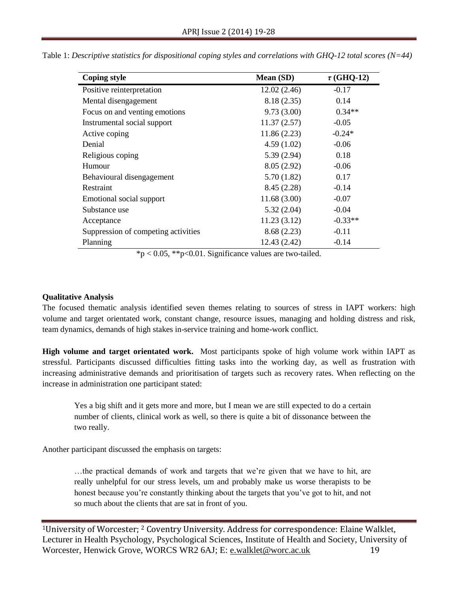| <b>Coping style</b>                 | Mean (SD)   | $\tau$ (GHQ-12) |
|-------------------------------------|-------------|-----------------|
| Positive reinterpretation           | 12.02(2.46) | $-0.17$         |
| Mental disengagement                | 8.18(2.35)  | 0.14            |
| Focus on and venting emotions       | 9.73(3.00)  | $0.34**$        |
| Instrumental social support         | 11.37(2.57) | $-0.05$         |
| Active coping                       | 11.86(2.23) | $-0.24*$        |
| Denial                              | 4.59(1.02)  | $-0.06$         |
| Religious coping                    | 5.39(2.94)  | 0.18            |
| Humour                              | 8.05(2.92)  | $-0.06$         |
| Behavioural disengagement           | 5.70(1.82)  | 0.17            |
| Restraint                           | 8.45 (2.28) | $-0.14$         |
| Emotional social support            | 11.68(3.00) | $-0.07$         |
| Substance use                       | 5.32(2.04)  | $-0.04$         |
| Acceptance                          | 11.23(3.12) | $-0.33**$       |
| Suppression of competing activities | 8.68(2.23)  | $-0.11$         |
| Planning                            | 12.43(2.42) | $-0.14$         |

Table 1: *Descriptive statistics for dispositional coping styles and correlations with GHQ-12 total scores (N=44)* 

 $*p < 0.05$ ,  $*p < 0.01$ . Significance values are two-tailed.

#### **Qualitative Analysis**

The focused thematic analysis identified seven themes relating to sources of stress in IAPT workers: high volume and target orientated work, constant change, resource issues, managing and holding distress and risk, team dynamics, demands of high stakes in-service training and home-work conflict.

**High volume and target orientated work.** Most participants spoke of high volume work within IAPT as stressful. Participants discussed difficulties fitting tasks into the working day, as well as frustration with increasing administrative demands and prioritisation of targets such as recovery rates. When reflecting on the increase in administration one participant stated:

Yes a big shift and it gets more and more, but I mean we are still expected to do a certain number of clients, clinical work as well, so there is quite a bit of dissonance between the two really.

Another participant discussed the emphasis on targets:

…the practical demands of work and targets that we're given that we have to hit, are really unhelpful for our stress levels, um and probably make us worse therapists to be honest because you're constantly thinking about the targets that you've got to hit, and not so much about the clients that are sat in front of you.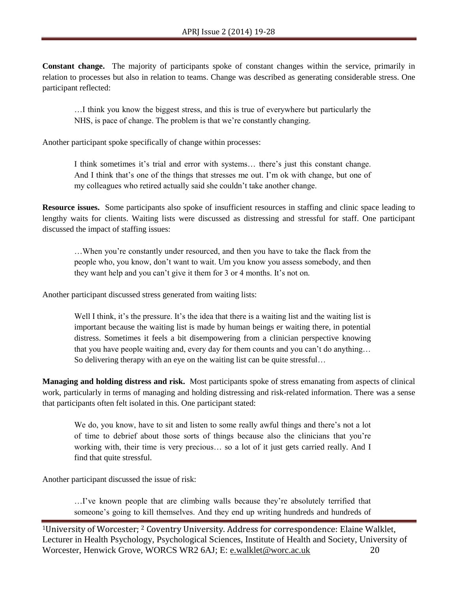**Constant change.** The majority of participants spoke of constant changes within the service, primarily in relation to processes but also in relation to teams. Change was described as generating considerable stress. One participant reflected:

…I think you know the biggest stress, and this is true of everywhere but particularly the NHS, is pace of change. The problem is that we're constantly changing.

Another participant spoke specifically of change within processes:

I think sometimes it's trial and error with systems… there's just this constant change. And I think that's one of the things that stresses me out. I'm ok with change, but one of my colleagues who retired actually said she couldn't take another change.

**Resource issues.** Some participants also spoke of insufficient resources in staffing and clinic space leading to lengthy waits for clients. Waiting lists were discussed as distressing and stressful for staff. One participant discussed the impact of staffing issues:

…When you're constantly under resourced, and then you have to take the flack from the people who, you know, don't want to wait. Um you know you assess somebody, and then they want help and you can't give it them for 3 or 4 months. It's not on.

Another participant discussed stress generated from waiting lists:

Well I think, it's the pressure. It's the idea that there is a waiting list and the waiting list is important because the waiting list is made by human beings er waiting there, in potential distress. Sometimes it feels a bit disempowering from a clinician perspective knowing that you have people waiting and, every day for them counts and you can't do anything… So delivering therapy with an eye on the waiting list can be quite stressful…

**Managing and holding distress and risk.** Most participants spoke of stress emanating from aspects of clinical work, particularly in terms of managing and holding distressing and risk-related information. There was a sense that participants often felt isolated in this. One participant stated:

We do, you know, have to sit and listen to some really awful things and there's not a lot of time to debrief about those sorts of things because also the clinicians that you're working with, their time is very precious… so a lot of it just gets carried really. And I find that quite stressful.

Another participant discussed the issue of risk:

…I've known people that are climbing walls because they're absolutely terrified that someone's going to kill themselves. And they end up writing hundreds and hundreds of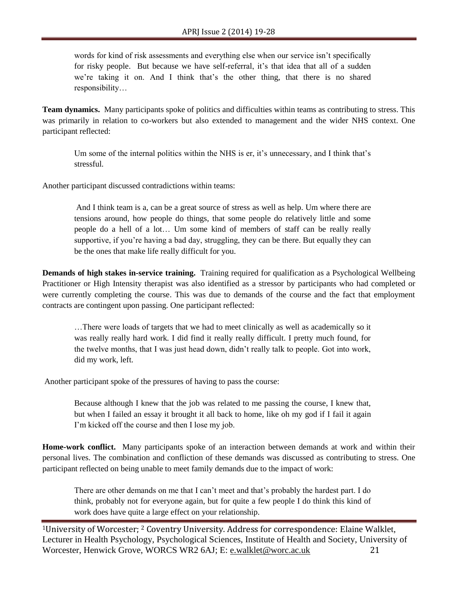words for kind of risk assessments and everything else when our service isn't specifically for risky people. But because we have self-referral, it's that idea that all of a sudden we're taking it on. And I think that's the other thing, that there is no shared responsibility…

**Team dynamics.** Many participants spoke of politics and difficulties within teams as contributing to stress. This was primarily in relation to co-workers but also extended to management and the wider NHS context. One participant reflected:

Um some of the internal politics within the NHS is er, it's unnecessary, and I think that's stressful.

Another participant discussed contradictions within teams:

And I think team is a, can be a great source of stress as well as help. Um where there are tensions around, how people do things, that some people do relatively little and some people do a hell of a lot… Um some kind of members of staff can be really really supportive, if you're having a bad day, struggling, they can be there. But equally they can be the ones that make life really difficult for you.

**Demands of high stakes in-service training.** Training required for qualification as a Psychological Wellbeing Practitioner or High Intensity therapist was also identified as a stressor by participants who had completed or were currently completing the course. This was due to demands of the course and the fact that employment contracts are contingent upon passing. One participant reflected:

…There were loads of targets that we had to meet clinically as well as academically so it was really really hard work. I did find it really really difficult. I pretty much found, for the twelve months, that I was just head down, didn't really talk to people. Got into work, did my work, left.

Another participant spoke of the pressures of having to pass the course:

Because although I knew that the job was related to me passing the course, I knew that, but when I failed an essay it brought it all back to home, like oh my god if I fail it again I'm kicked off the course and then I lose my job.

**Home-work conflict.** Many participants spoke of an interaction between demands at work and within their personal lives. The combination and confliction of these demands was discussed as contributing to stress. One participant reflected on being unable to meet family demands due to the impact of work:

There are other demands on me that I can't meet and that's probably the hardest part. I do think, probably not for everyone again, but for quite a few people I do think this kind of work does have quite a large effect on your relationship.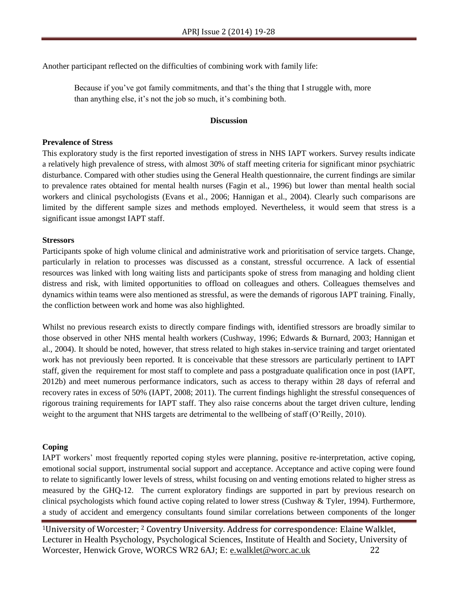Another participant reflected on the difficulties of combining work with family life:

Because if you've got family commitments, and that's the thing that I struggle with, more than anything else, it's not the job so much, it's combining both.

#### **Discussion**

#### **Prevalence of Stress**

This exploratory study is the first reported investigation of stress in NHS IAPT workers. Survey results indicate a relatively high prevalence of stress, with almost 30% of staff meeting criteria for significant minor psychiatric disturbance. Compared with other studies using the General Health questionnaire, the current findings are similar to prevalence rates obtained for mental health nurses (Fagin et al., 1996) but lower than mental health social workers and clinical psychologists (Evans et al., 2006; Hannigan et al., 2004). Clearly such comparisons are limited by the different sample sizes and methods employed. Nevertheless, it would seem that stress is a significant issue amongst IAPT staff.

#### **Stressors**

Participants spoke of high volume clinical and administrative work and prioritisation of service targets. Change, particularly in relation to processes was discussed as a constant, stressful occurrence. A lack of essential resources was linked with long waiting lists and participants spoke of stress from managing and holding client distress and risk, with limited opportunities to offload on colleagues and others. Colleagues themselves and dynamics within teams were also mentioned as stressful, as were the demands of rigorous IAPT training. Finally, the confliction between work and home was also highlighted.

Whilst no previous research exists to directly compare findings with, identified stressors are broadly similar to those observed in other NHS mental health workers (Cushway, 1996; Edwards & Burnard, 2003; Hannigan et al., 2004). It should be noted, however, that stress related to high stakes in-service training and target orientated work has not previously been reported. It is conceivable that these stressors are particularly pertinent to IAPT staff, given the requirement for most staff to complete and pass a postgraduate qualification once in post (IAPT, 2012b) and meet numerous performance indicators, such as access to therapy within 28 days of referral and recovery rates in excess of 50% (IAPT, 2008; 2011). The current findings highlight the stressful consequences of rigorous training requirements for IAPT staff. They also raise concerns about the target driven culture, lending weight to the argument that NHS targets are detrimental to the wellbeing of staff (O'Reilly, 2010).

#### **Coping**

IAPT workers' most frequently reported coping styles were planning, positive re-interpretation, active coping, emotional social support, instrumental social support and acceptance. Acceptance and active coping were found to relate to significantly lower levels of stress, whilst focusing on and venting emotions related to higher stress as measured by the GHQ-12. The current exploratory findings are supported in part by previous research on clinical psychologists which found active coping related to lower stress (Cushway  $&$  Tyler, 1994). Furthermore, a study of accident and emergency consultants found similar correlations between components of the longer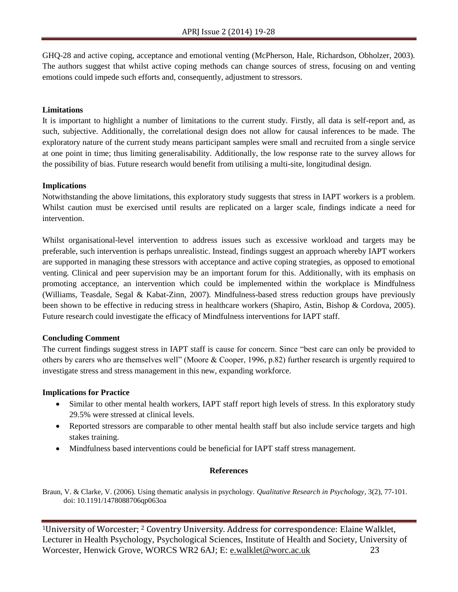GHQ-28 and active coping, acceptance and emotional venting (McPherson, Hale, Richardson, Obholzer, 2003). The authors suggest that whilst active coping methods can change sources of stress, focusing on and venting emotions could impede such efforts and, consequently, adjustment to stressors.

### **Limitations**

It is important to highlight a number of limitations to the current study. Firstly, all data is self-report and, as such, subjective. Additionally, the correlational design does not allow for causal inferences to be made. The exploratory nature of the current study means participant samples were small and recruited from a single service at one point in time; thus limiting generalisability. Additionally, the low response rate to the survey allows for the possibility of bias. Future research would benefit from utilising a multi-site, longitudinal design.

#### **Implications**

Notwithstanding the above limitations, this exploratory study suggests that stress in IAPT workers is a problem. Whilst caution must be exercised until results are replicated on a larger scale, findings indicate a need for intervention.

Whilst organisational-level intervention to address issues such as excessive workload and targets may be preferable, such intervention is perhaps unrealistic. Instead, findings suggest an approach whereby IAPT workers are supported in managing these stressors with acceptance and active coping strategies, as opposed to emotional venting. Clinical and peer supervision may be an important forum for this. Additionally, with its emphasis on promoting acceptance, an intervention which could be implemented within the workplace is Mindfulness (Williams, Teasdale, Segal & Kabat-Zinn, 2007). Mindfulness-based stress reduction groups have previously been shown to be effective in reducing stress in healthcare workers (Shapiro, Astin, Bishop & Cordova, 2005). Future research could investigate the efficacy of Mindfulness interventions for IAPT staff.

# **Concluding Comment**

The current findings suggest stress in IAPT staff is cause for concern. Since "best care can only be provided to others by carers who are themselves well" (Moore & Cooper, 1996, p.82) further research is urgently required to investigate stress and stress management in this new, expanding workforce.

# **Implications for Practice**

- Similar to other mental health workers, IAPT staff report high levels of stress. In this exploratory study 29.5% were stressed at clinical levels.
- Reported stressors are comparable to other mental health staff but also include service targets and high stakes training.
- Mindfulness based interventions could be beneficial for IAPT staff stress management.

# **References**

Braun, V. & Clarke, V. (2006). Using thematic analysis in psychology. *Qualitative Research in Psychology,* 3(2), 77-101. doi: 10.1191/1478088706qp063oa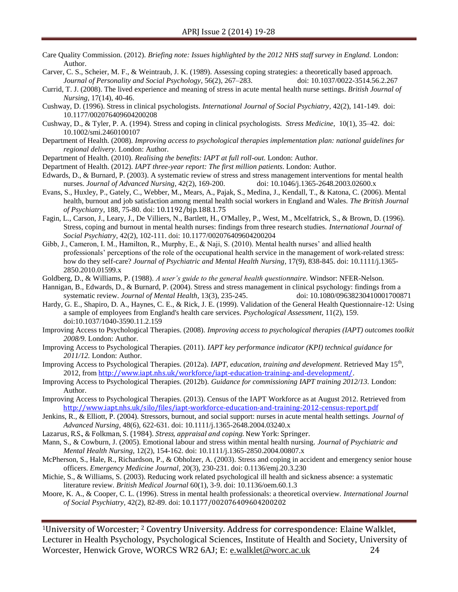- Care Quality Commission. (2012). *Briefing note: Issues highlighted by the 2012 NHS staff survey in England.* London: Author.
- Carver, C. S., Scheier, M. F., & Weintraub, J. K. (1989). Assessing coping strategies: a theoretically based approach. *Journal of Personality and Social Psychology,* 56(2), 267–283. doi: 10.1037/0022-3514.56.2.267
- Currid, T. J. (2008). The lived experience and meaning of stress in acute mental health nurse settings. *British Journal of Nursing,* 17(14), 40-46.
- Cushway, D. (1996). Stress in clinical psychologists. *International Journal of Social Psychiatry,* 42(2), 141-149. doi: 10.1177/002076409604200208
- Cushway, D., & Tyler, P. A. (1994). Stress and coping in clinical psychologists. *Stress Medicine,* [10\(1\),](http://onlinelibrary.wiley.com/doi/10.1002/smi.v10:1/issuetoc) 35–42. doi: 10.1002/smi.2460100107
- Department of Health. (2008). *Improving access to psychological therapies implementation plan: national guidelines for regional delivery.* London: Author.
- Department of Health. (2010). *Realising the benefits: IAPT at full roll-out.* London: Author.
- Department of Health. (2012). *IAPT three-year report: The first million patients*. London: Author.
- Edwards, D., & Burnard, P. (2003). A systematic review of stress and stress management interventions for mental health nurses. *Journal of Advanced Nursing,* 42(2), 169-200. doi: 10.1046/j.1365-2648.2003.02600.x
- Evans, S., Huxley, P., Gately, C., Webber, M., Mears, A., Pajak, S., Medina, J., Kendall, T., & Katona, C. (2006). Mental health, burnout and job satisfaction among mental health social workers in England and Wales. *The British Journal of Psychiatry,* 188, 75-80. doi: 10.1192/bjp.188.1.75
- Fagin, L., Carson, J., Leary, J., De Villiers, N., Bartlett, H., O'Malley, P., West, M., Mcelfatrick, S., & Brown, D. (1996). Stress, coping and burnout in mental health nurses: findings from three research studies. *International Journal of Social Psychiatry,* 42(2), 102-111. doi: 10.1177/002076409604200204
- Gibb, J., Cameron, I. M., Hamilton, R., Murphy, E., & Naji, S. (2010). Mental health nurses' and allied health professionals' perceptions of the role of the occupational health service in the management of work-related stress: how do they self-care? *Journal of Psychiatric and Mental Health Nursing,* 17(9), 838-845. doi: 10.1111/j.1365- 2850.2010.01599.x
- Goldberg, D., & Williams, P. (1988). *A user's guide to the general health questionnaire.* Windsor: NFER-Nelson.
- Hannigan, B., Edwards, D., & Burnard, P. (2004). Stress and stress management in clinical psychology: findings from a systematic review. *Journal of Mental Health,* 13(3), 235-245. doi: 10.1080/09638230410001700871
- Hardy, G. E., Shapiro, D. A., Haynes, C. E., & Rick, J. E. (1999). Validation of the General Health Questionnaire-12: Using a sample of employees from England's health care services. *Psychological Assessment,* 11(2), 159. doi:10.1037/1040-3590.11.2.159
- Improving Access to Psychological Therapies. (2008). *Improving access to psychological therapies (IAPT) outcomes toolkit 2008/9*. London: Author.
- Improving Access to Psychological Therapies. (2011). *IAPT key performance indicator (KPI) technical guidance for 2011/12.* London: Author.
- Improving Access to Psychological Therapies. (2012a). *IAPT, education, training and development*. Retrieved May 15<sup>th</sup>, 2012, from <http://www.iapt.nhs.uk/workforce/iapt-education-training-and-development/>.
- Improving Access to Psychological Therapies. (2012b). *Guidance for commissioning IAPT training 2012/13.* London: Author.
- Improving Access to Psychological Therapies. (2013). Census of the IAPT Workforce as at August 2012. Retrieved from <http://www.iapt.nhs.uk/silo/files/iapt-workforce-education-and-training-2012-census-report.pdf>
- Jenkins, R., & Elliott, P. (2004). Stressors, burnout, and social support: nurses in acute mental health settings. *Journal of Advanced Nursing,* 48(6), 622-631. doi: 10.1111/j.1365-2648.2004.03240.x
- Lazarus, R.S., & Folkman, S. (1984). *Stress, appraisal and coping*. New York: Springer.
- Mann, S., & Cowburn, J. (2005). Emotional labour and stress within mental health nursing. *Journal of Psychiatric and Mental Health Nursing,* 12(2), 154-162. doi: 10.1111/j.1365-2850.2004.00807.x
- McPherson, S., Hale, R., Richardson, P., & Obholzer, A. (2003). Stress and coping in accident and emergency senior house officers. *Emergency Medicine Journal,* 20(3), 230-231. doi: 0.1136/emj.20.3.230
- Michie, S., & Williams, S. (2003). Reducing work related psychological ill health and sickness absence: a systematic literature review. *British Medical Journal* 60(1), 3-9. doi: 10.1136/oem.60.1.3
- Moore, K. A., & Cooper, C. L. (1996). Stress in mental health professionals: a theoretical overview. *International Journal of Social Psychiatry,* 42(2), 82-89. doi: 10.1177/002076409604200202